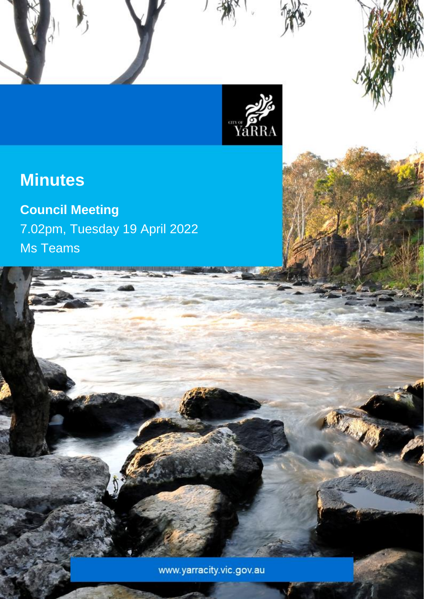

Council Meeting Minutes – 19 April 2022

# **Minutes**

**Council Meeting** 7.02pm, Tuesday 19 April 2022 Ms Teams

www.yarracity.vic.gov.au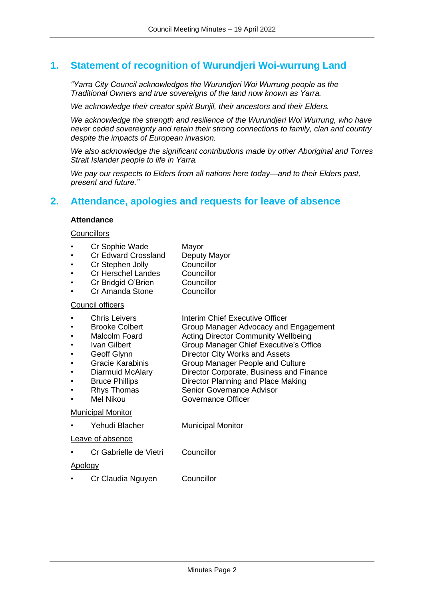## **1. Statement of recognition of Wurundjeri Woi-wurrung Land**

*"Yarra City Council acknowledges the Wurundjeri Woi Wurrung people as the Traditional Owners and true sovereigns of the land now known as Yarra.*

*We acknowledge their creator spirit Bunjil, their ancestors and their Elders.*

*We acknowledge the strength and resilience of the Wurundjeri Woi Wurrung, who have never ceded sovereignty and retain their strong connections to family, clan and country despite the impacts of European invasion.*

*We also acknowledge the significant contributions made by other Aboriginal and Torres Strait Islander people to life in Yarra.*

*We pay our respects to Elders from all nations here today—and to their Elders past, present and future."*

## **2. Attendance, apologies and requests for leave of absence**

#### **Attendance**

#### **Councillors**

- Cr Sophie Wade Mayor
- Cr Edward Crossland Deputy Mayor<br>Cr Stephen Jolly Councillor
- **Cr Stephen Jolly** 
	- Cr Herschel Landes Councillor
- Cr Bridgid O'Brien Councillor
- Cr Amanda Stone Councillor

#### Council officers

- **Chris Leivers Interim Chief Executive Officer**
- Brooke Colbert Group Manager Advocacy and Engagement
	- Malcolm Foard **Acting Director Community Wellbeing**
	- Ivan Gilbert Group Manager Chief Executive's Office
	- Geoff Glynn **Director City Works and Assets**
- Gracie Karabinis Group Manager People and Culture
- Diarmuid McAlary Director Corporate, Business and Finance
- Bruce Phillips Director Planning and Place Making
- **Rhys Thomas Senior Governance Advisor**
- Mel Nikou Governance Officer

#### Municipal Monitor

Yehudi Blacher Municipal Monitor

## Leave of absence

• Cr Gabrielle de Vietri Councillor

#### Apology

• Cr Claudia Nguyen Councillor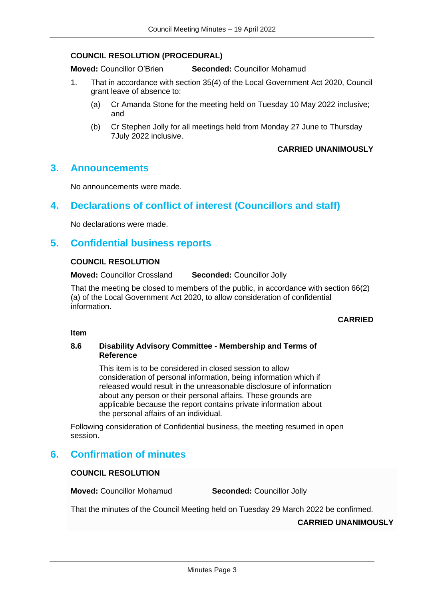#### **COUNCIL RESOLUTION (PROCEDURAL)**

**Moved:** Councillor O'Brien **Seconded:** Councillor Mohamud

- 1. That in accordance with section 35(4) of the Local Government Act 2020, Council grant leave of absence to:
	- (a) Cr Amanda Stone for the meeting held on Tuesday 10 May 2022 inclusive; and
	- (b) Cr Stephen Jolly for all meetings held from Monday 27 June to Thursday 7July 2022 inclusive.

## **CARRIED UNANIMOUSLY**

## **3. Announcements**

No announcements were made.

## **4. Declarations of conflict of interest (Councillors and staff)**

No declarations were made.

## **5. Confidential business reports**

#### **COUNCIL RESOLUTION**

**Moved:** Councillor Crossland **Seconded:** Councillor Jolly

That the meeting be closed to members of the public, in accordance with section 66(2) (a) of the Local Government Act 2020, to allow consideration of confidential information.

## **CARRIED**

#### **Item**

#### **8.6 Disability Advisory Committee - Membership and Terms of Reference**

This item is to be considered in closed session to allow consideration of personal information, being information which if released would result in the unreasonable disclosure of information about any person or their personal affairs. These grounds are applicable because the report contains private information about the personal affairs of an individual.

Following consideration of Confidential business, the meeting resumed in open session.

## **6. Confirmation of minutes**

## **COUNCIL RESOLUTION**

**Moved:** Councillor Mohamud **Seconded:** Councillor Jolly

That the minutes of the Council Meeting held on Tuesday 29 March 2022 be confirmed.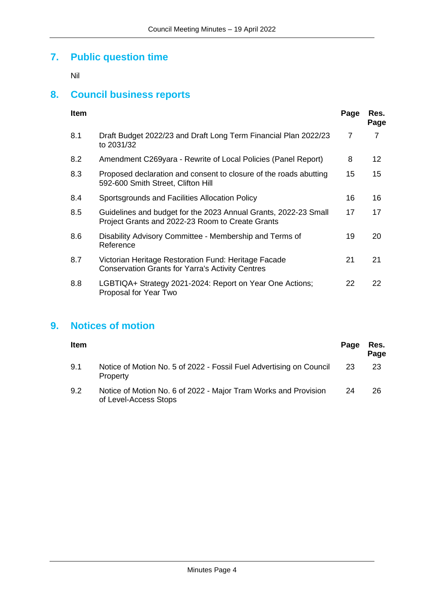## **7. Public question time**

Nil

## **8. Council business reports**

| <b>Item</b> |                                                                                                                     | Page | Res.<br>Page |
|-------------|---------------------------------------------------------------------------------------------------------------------|------|--------------|
| 8.1         | Draft Budget 2022/23 and Draft Long Term Financial Plan 2022/23<br>to 2031/32                                       | 7    | 7            |
| 8.2         | Amendment C269yara - Rewrite of Local Policies (Panel Report)                                                       | 8    | 12           |
| 8.3         | Proposed declaration and consent to closure of the roads abutting<br>592-600 Smith Street, Clifton Hill             | 15   | 15           |
| 8.4         | Sportsgrounds and Facilities Allocation Policy                                                                      | 16   | 16           |
| 8.5         | Guidelines and budget for the 2023 Annual Grants, 2022-23 Small<br>Project Grants and 2022-23 Room to Create Grants | 17   | 17           |
| 8.6         | Disability Advisory Committee - Membership and Terms of<br>Reference                                                | 19   | 20           |
| 8.7         | Victorian Heritage Restoration Fund: Heritage Facade<br><b>Conservation Grants for Yarra's Activity Centres</b>     | 21   | 21           |
| 8.8         | LGBTIQA+ Strategy 2021-2024: Report on Year One Actions;<br>Proposal for Year Two                                   | 22   | 22           |

## **9. Notices of motion**

| Item |                                                                                          | Page | Res.<br>Page |
|------|------------------------------------------------------------------------------------------|------|--------------|
| 9.1  | Notice of Motion No. 5 of 2022 - Fossil Fuel Advertising on Council<br>Property          | 23   | 23           |
| 9.2  | Notice of Motion No. 6 of 2022 - Major Tram Works and Provision<br>of Level-Access Stops | 24   | 26           |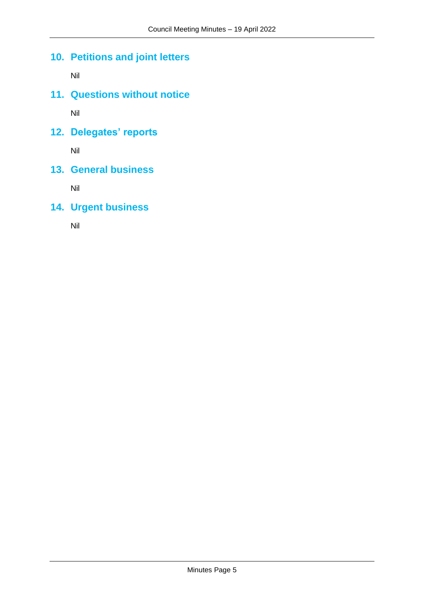## **10. Petitions and joint letters**

Nil

**11. Questions without notice**

Nil

**12. Delegates' reports**

Nil

**13. General business**

Nil

**14. Urgent business** 

Nil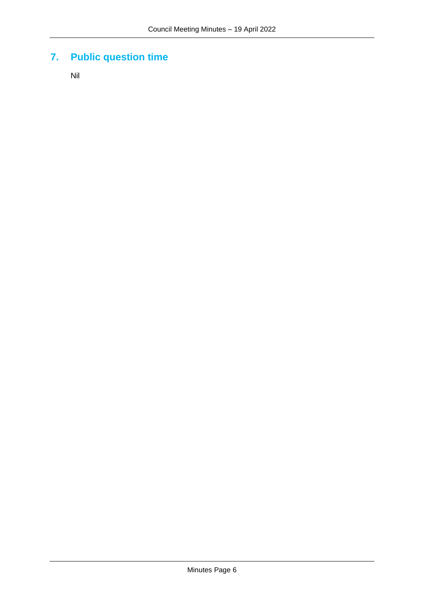## **7. Public question time**

Nil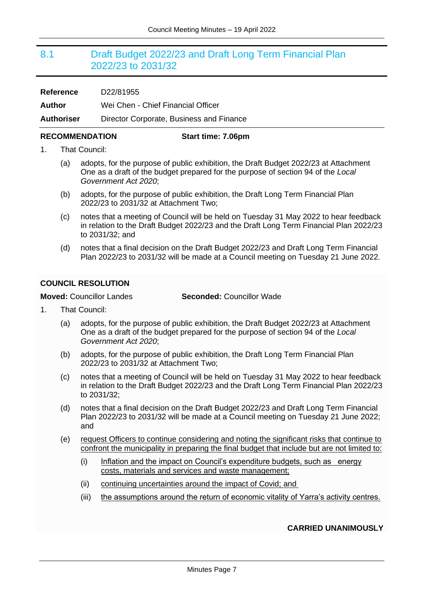## <span id="page-6-0"></span>8.1 Draft Budget 2022/23 and Draft Long Term Financial Plan 2022/23 to 2031/32

| <b>Reference</b>  | D22/81955                                |
|-------------------|------------------------------------------|
| Author            | Wei Chen - Chief Financial Officer       |
| <b>Authoriser</b> | Director Corporate, Business and Finance |

### **RECOMMENDATION Start time: 7.06pm**

- 1. That Council:
	- (a) adopts, for the purpose of public exhibition, the Draft Budget 2022/23 at Attachment One as a draft of the budget prepared for the purpose of section 94 of the *Local Government Act 2020*;
	- (b) adopts, for the purpose of public exhibition, the Draft Long Term Financial Plan 2022/23 to 2031/32 at Attachment Two;
	- (c) notes that a meeting of Council will be held on Tuesday 31 May 2022 to hear feedback in relation to the Draft Budget 2022/23 and the Draft Long Term Financial Plan 2022/23 to 2031/32; and
	- (d) notes that a final decision on the Draft Budget 2022/23 and Draft Long Term Financial Plan 2022/23 to 2031/32 will be made at a Council meeting on Tuesday 21 June 2022.

## <span id="page-6-1"></span>**COUNCIL RESOLUTION**

## **Moved:** Councillor Landes **Seconded:** Councillor Wade

- 1. That Council:
	- (a) adopts, for the purpose of public exhibition, the Draft Budget 2022/23 at Attachment One as a draft of the budget prepared for the purpose of section 94 of the *Local Government Act 2020*;
	- (b) adopts, for the purpose of public exhibition, the Draft Long Term Financial Plan 2022/23 to 2031/32 at Attachment Two;
	- (c) notes that a meeting of Council will be held on Tuesday 31 May 2022 to hear feedback in relation to the Draft Budget 2022/23 and the Draft Long Term Financial Plan 2022/23 to 2031/32;
	- (d) notes that a final decision on the Draft Budget 2022/23 and Draft Long Term Financial Plan 2022/23 to 2031/32 will be made at a Council meeting on Tuesday 21 June 2022; and
	- (e) request Officers to continue considering and noting the significant risks that continue to confront the municipality in preparing the final budget that include but are not limited to:
		- (i) Inflation and the impact on Council's expenditure budgets, such as energy costs, materials and services and waste management;
		- (ii) continuing uncertainties around the impact of Covid; and
		- (iii) the assumptions around the return of economic vitality of Yarra's activity centres.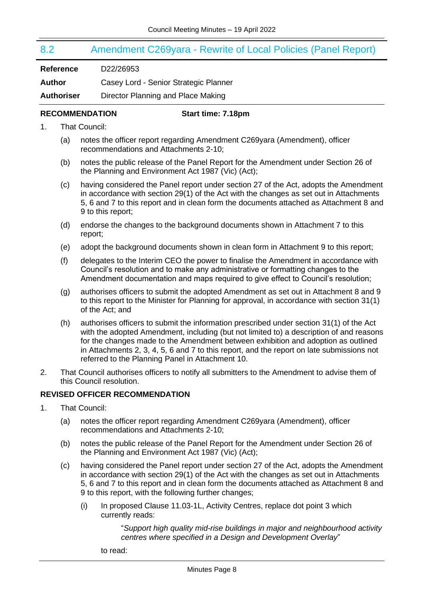# <span id="page-7-0"></span>8.2 Amendment C269yara - Rewrite of Local Policies (Panel Report) **Reference** D22/26953 **Author** Casey Lord - Senior Strategic Planner

**Authoriser** Director Planning and Place Making

## **RECOMMENDATION Start time: 7.18pm**

- 1. That Council:
	- (a) notes the officer report regarding Amendment C269yara (Amendment), officer recommendations and Attachments 2-10;
	- (b) notes the public release of the Panel Report for the Amendment under Section 26 of the Planning and Environment Act 1987 (Vic) (Act);
	- (c) having considered the Panel report under section 27 of the Act, adopts the Amendment in accordance with section 29(1) of the Act with the changes as set out in Attachments 5, 6 and 7 to this report and in clean form the documents attached as Attachment 8 and 9 to this report;
	- (d) endorse the changes to the background documents shown in Attachment 7 to this report;
	- (e) adopt the background documents shown in clean form in Attachment 9 to this report;
	- (f) delegates to the Interim CEO the power to finalise the Amendment in accordance with Council's resolution and to make any administrative or formatting changes to the Amendment documentation and maps required to give effect to Council's resolution;
	- (g) authorises officers to submit the adopted Amendment as set out in Attachment 8 and 9 to this report to the Minister for Planning for approval, in accordance with section 31(1) of the Act; and
	- (h) authorises officers to submit the information prescribed under section 31(1) of the Act with the adopted Amendment, including (but not limited to) a description of and reasons for the changes made to the Amendment between exhibition and adoption as outlined in Attachments 2, 3, 4, 5, 6 and 7 to this report, and the report on late submissions not referred to the Planning Panel in Attachment 10.
- 2. That Council authorises officers to notify all submitters to the Amendment to advise them of this Council resolution.

## **REVISED OFFICER RECOMMENDATION**

- 1. That Council:
	- (a) notes the officer report regarding Amendment C269yara (Amendment), officer recommendations and Attachments 2-10;
	- (b) notes the public release of the Panel Report for the Amendment under Section 26 of the Planning and Environment Act 1987 (Vic) (Act);
	- (c) having considered the Panel report under section 27 of the Act, adopts the Amendment in accordance with section 29(1) of the Act with the changes as set out in Attachments 5, 6 and 7 to this report and in clean form the documents attached as Attachment 8 and 9 to this report, with the following further changes;
		- (i) In proposed Clause 11.03-1L, Activity Centres, replace dot point 3 which currently reads:

"*Support high quality mid-rise buildings in major and neighbourhood activity centres where specified in a Design and Development Overlay*"

to read: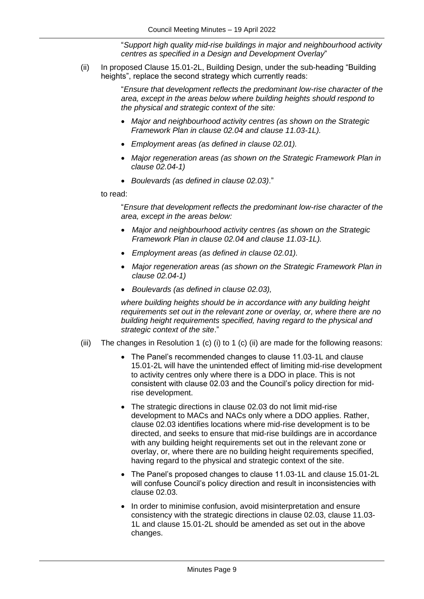"*Support high quality mid-rise buildings in major and neighbourhood activity centres as specified in a Design and Development Overlay*"

(ii) In proposed Clause 15.01-2L, Building Design, under the sub-heading "Building heights", replace the second strategy which currently reads:

> "*Ensure that development reflects the predominant low-rise character of the area, except in the areas below where building heights should respond to the physical and strategic context of the site:*

- *Major and neighbourhood activity centres (as shown on the Strategic Framework Plan in clause 02.04 and clause 11.03-1L).*
- *Employment areas (as defined in clause 02.01).*
- *Major regeneration areas (as shown on the Strategic Framework Plan in clause 02.04-1)*
- *Boulevards (as defined in clause 02.03)*."

to read:

"*Ensure that development reflects the predominant low-rise character of the area, except in the areas below:* 

- *Major and neighbourhood activity centres (as shown on the Strategic Framework Plan in clause 02.04 and clause 11.03-1L).*
- *Employment areas (as defined in clause 02.01).*
- *Major regeneration areas (as shown on the Strategic Framework Plan in clause 02.04-1)*
- *Boulevards (as defined in clause 02.03),*

*where building heights should be in accordance with any building height requirements set out in the relevant zone or overlay, or, where there are no building height requirements specified, having regard to the physical and strategic context of the site*."

- (iii) The changes in Resolution 1 (c) (i) to 1 (c) (ii) are made for the following reasons:
	- The Panel's recommended changes to clause 11.03-1L and clause 15.01-2L will have the unintended effect of limiting mid-rise development to activity centres only where there is a DDO in place. This is not consistent with clause 02.03 and the Council's policy direction for midrise development.
	- The strategic directions in clause 02.03 do not limit mid-rise development to MACs and NACs only where a DDO applies. Rather, clause 02.03 identifies locations where mid-rise development is to be directed, and seeks to ensure that mid-rise buildings are in accordance with any building height requirements set out in the relevant zone or overlay, or, where there are no building height requirements specified, having regard to the physical and strategic context of the site.
	- The Panel's proposed changes to clause 11.03-1L and clause 15.01-2L will confuse Council's policy direction and result in inconsistencies with clause 02.03.
	- In order to minimise confusion, avoid misinterpretation and ensure consistency with the strategic directions in clause 02.03, clause 11.03- 1L and clause 15.01-2L should be amended as set out in the above changes.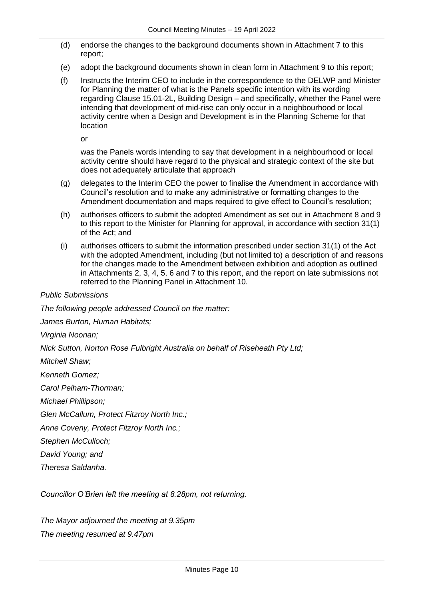- (d) endorse the changes to the background documents shown in Attachment 7 to this report;
- (e) adopt the background documents shown in clean form in Attachment 9 to this report;
- (f) Instructs the Interim CEO to include in the correspondence to the DELWP and Minister for Planning the matter of what is the Panels specific intention with its wording regarding Clause 15.01-2L, Building Design – and specifically, whether the Panel were intending that development of mid-rise can only occur in a neighbourhood or local activity centre when a Design and Development is in the Planning Scheme for that location

or

was the Panels words intending to say that development in a neighbourhood or local activity centre should have regard to the physical and strategic context of the site but does not adequately articulate that approach

- (g) delegates to the Interim CEO the power to finalise the Amendment in accordance with Council's resolution and to make any administrative or formatting changes to the Amendment documentation and maps required to give effect to Council's resolution;
- (h) authorises officers to submit the adopted Amendment as set out in Attachment 8 and 9 to this report to the Minister for Planning for approval, in accordance with section 31(1) of the Act; and
- (i) authorises officers to submit the information prescribed under section 31(1) of the Act with the adopted Amendment, including (but not limited to) a description of and reasons for the changes made to the Amendment between exhibition and adoption as outlined in Attachments 2, 3, 4, 5, 6 and 7 to this report, and the report on late submissions not referred to the Planning Panel in Attachment 10.

## *Public Submissions*

*The following people addressed Council on the matter:*

*James Burton, Human Habitats;*

*Virginia Noonan;*

*Nick Sutton, Norton Rose Fulbright Australia on behalf of Riseheath Pty Ltd;*

*Mitchell Shaw;*

*Kenneth Gomez;*

*Carol Pelham-Thorman;*

*Michael Phillipson;*

*Glen McCallum, Protect Fitzroy North Inc.;*

*Anne Coveny, Protect Fitzroy North Inc.;*

*Stephen McCulloch;*

*David Young; and*

*Theresa Saldanha.*

*Councillor O'Brien left the meeting at 8.28pm, not returning.*

*The Mayor adjourned the meeting at 9.35pm The meeting resumed at 9.47pm*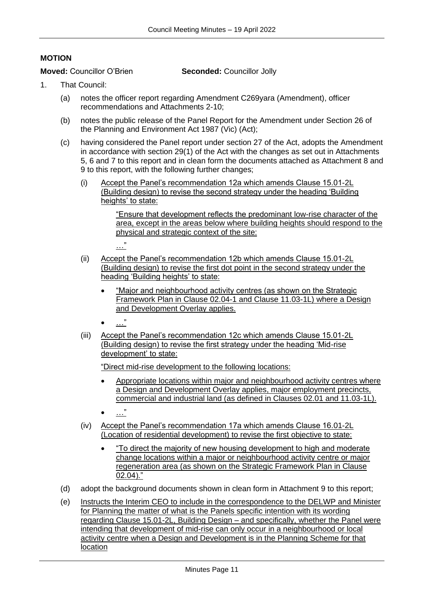## **MOTION**

**Moved:** Councillor O'Brien **Seconded:** Councillor Jolly

- 1. That Council:
	- (a) notes the officer report regarding Amendment C269yara (Amendment), officer recommendations and Attachments 2-10;
	- (b) notes the public release of the Panel Report for the Amendment under Section 26 of the Planning and Environment Act 1987 (Vic) (Act);
	- (c) having considered the Panel report under section 27 of the Act, adopts the Amendment in accordance with section 29(1) of the Act with the changes as set out in Attachments 5, 6 and 7 to this report and in clean form the documents attached as Attachment 8 and 9 to this report, with the following further changes;
		- (i) Accept the Panel's recommendation 12a which amends Clause 15.01-2L (Building design) to revise the second strategy under the heading 'Building heights' to state:

"Ensure that development reflects the predominant low-rise character of the area, except in the areas below where building heights should respond to the physical and strategic context of the site:

- (ii) Accept the Panel's recommendation 12b which amends Clause 15.01-2L (Building design) to revise the first dot point in the second strategy under the heading 'Building heights' to state:
	- "Major and neighbourhood activity centres (as shown on the Strategic Framework Plan in Clause 02.04-1 and Clause 11.03-1L) where a Design and Development Overlay applies.
	- …"

…"

(iii) Accept the Panel's recommendation 12c which amends Clause 15.01-2L (Building design) to revise the first strategy under the heading 'Mid-rise development' to state:

"Direct mid-rise development to the following locations:

- Appropriate locations within major and neighbourhood activity centres where a Design and Development Overlay applies, major employment precincts, commercial and industrial land (as defined in Clauses 02.01 and 11.03-1L).
- …"
- (iv) Accept the Panel's recommendation 17a which amends Clause 16.01-2L (Location of residential development) to revise the first objective to state:
	- "To direct the majority of new housing development to high and moderate change locations within a major or neighbourhood activity centre or major regeneration area (as shown on the Strategic Framework Plan in Clause 02.04)."
- (d) adopt the background documents shown in clean form in Attachment 9 to this report;
- (e) Instructs the Interim CEO to include in the correspondence to the DELWP and Minister for Planning the matter of what is the Panels specific intention with its wording regarding Clause 15.01-2L, Building Design – and specifically, whether the Panel were intending that development of mid-rise can only occur in a neighbourhood or local activity centre when a Design and Development is in the Planning Scheme for that location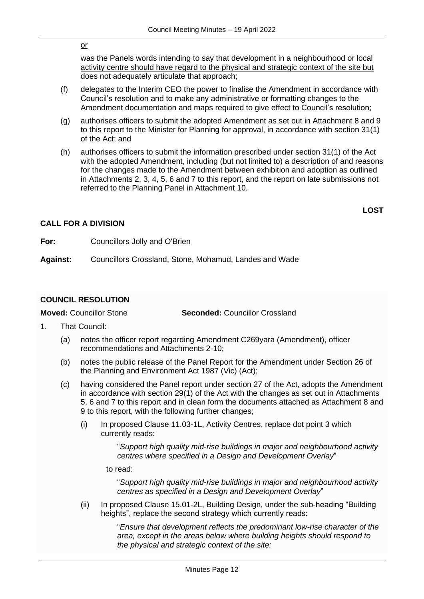#### or

was the Panels words intending to say that development in a neighbourhood or local activity centre should have regard to the physical and strategic context of the site but does not adequately articulate that approach;

- (f) delegates to the Interim CEO the power to finalise the Amendment in accordance with Council's resolution and to make any administrative or formatting changes to the Amendment documentation and maps required to give effect to Council's resolution;
- (g) authorises officers to submit the adopted Amendment as set out in Attachment 8 and 9 to this report to the Minister for Planning for approval, in accordance with section 31(1) of the Act; and
- (h) authorises officers to submit the information prescribed under section 31(1) of the Act with the adopted Amendment, including (but not limited to) a description of and reasons for the changes made to the Amendment between exhibition and adoption as outlined in Attachments 2, 3, 4, 5, 6 and 7 to this report, and the report on late submissions not referred to the Planning Panel in Attachment 10.

## **LOST**

## **CALL FOR A DIVISION**

**For:** Councillors Jolly and O'Brien

**Against:** Councillors Crossland, Stone, Mohamud, Landes and Wade

## <span id="page-11-0"></span>**COUNCIL RESOLUTION**

**Moved:** Councillor Stone **Seconded:** Councillor Crossland

- 1. That Council:
	- (a) notes the officer report regarding Amendment C269yara (Amendment), officer recommendations and Attachments 2-10;
	- (b) notes the public release of the Panel Report for the Amendment under Section 26 of the Planning and Environment Act 1987 (Vic) (Act);
	- (c) having considered the Panel report under section 27 of the Act, adopts the Amendment in accordance with section 29(1) of the Act with the changes as set out in Attachments 5, 6 and 7 to this report and in clean form the documents attached as Attachment 8 and 9 to this report, with the following further changes;
		- (i) In proposed Clause 11.03-1L, Activity Centres, replace dot point 3 which currently reads:

"*Support high quality mid-rise buildings in major and neighbourhood activity centres where specified in a Design and Development Overlay*"

to read:

"*Support high quality mid-rise buildings in major and neighbourhood activity centres as specified in a Design and Development Overlay*"

(ii) In proposed Clause 15.01-2L, Building Design, under the sub-heading "Building heights", replace the second strategy which currently reads:

> "*Ensure that development reflects the predominant low-rise character of the area, except in the areas below where building heights should respond to the physical and strategic context of the site:*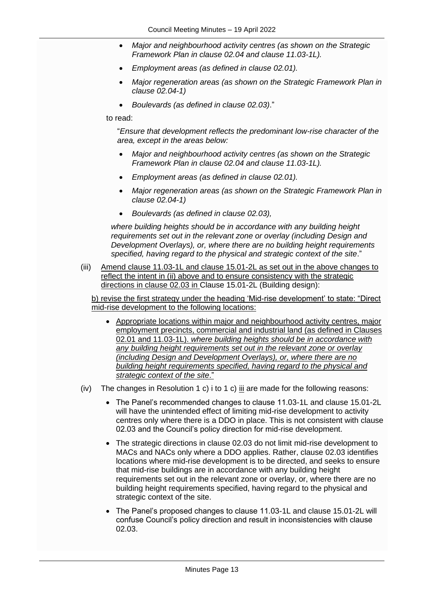- *Major and neighbourhood activity centres (as shown on the Strategic Framework Plan in clause 02.04 and clause 11.03-1L).*
- *Employment areas (as defined in clause 02.01).*
- *Major regeneration areas (as shown on the Strategic Framework Plan in clause 02.04-1)*
- *Boulevards (as defined in clause 02.03)*."

to read:

"*Ensure that development reflects the predominant low-rise character of the area, except in the areas below:* 

- *Major and neighbourhood activity centres (as shown on the Strategic Framework Plan in clause 02.04 and clause 11.03-1L).*
- *Employment areas (as defined in clause 02.01).*
- *Major regeneration areas (as shown on the Strategic Framework Plan in clause 02.04-1)*
- *Boulevards (as defined in clause 02.03),*

*where building heights should be in accordance with any building height requirements set out in the relevant zone or overlay (including Design and Development Overlays), or, where there are no building height requirements specified, having regard to the physical and strategic context of the site*."

(iii) Amend clause 11.03-1L and clause 15.01-2L as set out in the above changes to reflect the intent in (ii) above and to ensure consistency with the strategic directions in clause 02.03 in Clause 15.01-2L (Building design):

b) revise the first strategy under the heading 'Mid-rise development' to state: "Direct mid-rise development to the following locations:

- Appropriate locations within major and neighbourhood activity centres, major employment precincts, commercial and industrial land (as defined in Clauses 02.01 and 11.03-1L). *where building heights should be in accordance with any building height requirements set out in the relevant zone or overlay (including Design and Development Overlays), or, where there are no building height requirements specified, having regard to the physical and strategic context of the site*."
- (iv) The changes in Resolution 1 c) i to 1 c)  $\frac{1}{10}$  are made for the following reasons:
	- The Panel's recommended changes to clause 11.03-1L and clause 15.01-2L will have the unintended effect of limiting mid-rise development to activity centres only where there is a DDO in place. This is not consistent with clause 02.03 and the Council's policy direction for mid-rise development.
	- The strategic directions in clause 02.03 do not limit mid-rise development to MACs and NACs only where a DDO applies. Rather, clause 02.03 identifies locations where mid-rise development is to be directed, and seeks to ensure that mid-rise buildings are in accordance with any building height requirements set out in the relevant zone or overlay, or, where there are no building height requirements specified, having regard to the physical and strategic context of the site.
	- The Panel's proposed changes to clause 11.03-1L and clause 15.01-2L will confuse Council's policy direction and result in inconsistencies with clause 02.03.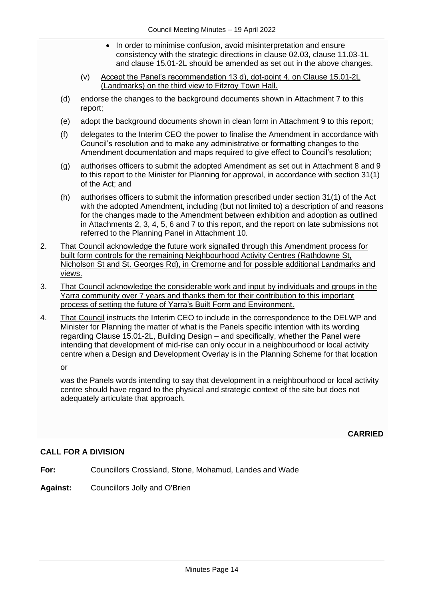- In order to minimise confusion, avoid misinterpretation and ensure consistency with the strategic directions in clause 02.03, clause 11.03-1L and clause 15.01-2L should be amended as set out in the above changes.
- (v) Accept the Panel's recommendation 13 d), dot-point 4, on Clause 15.01-2L (Landmarks) on the third view to Fitzroy Town Hall.
- (d) endorse the changes to the background documents shown in Attachment 7 to this report;
- (e) adopt the background documents shown in clean form in Attachment 9 to this report;
- (f) delegates to the Interim CEO the power to finalise the Amendment in accordance with Council's resolution and to make any administrative or formatting changes to the Amendment documentation and maps required to give effect to Council's resolution;
- (g) authorises officers to submit the adopted Amendment as set out in Attachment 8 and 9 to this report to the Minister for Planning for approval, in accordance with section 31(1) of the Act; and
- (h) authorises officers to submit the information prescribed under section 31(1) of the Act with the adopted Amendment, including (but not limited to) a description of and reasons for the changes made to the Amendment between exhibition and adoption as outlined in Attachments 2, 3, 4, 5, 6 and 7 to this report, and the report on late submissions not referred to the Planning Panel in Attachment 10.
- 2. That Council acknowledge the future work signalled through this Amendment process for built form controls for the remaining Neighbourhood Activity Centres (Rathdowne St, Nicholson St and St. Georges Rd), in Cremorne and for possible additional Landmarks and views.
- 3. That Council acknowledge the considerable work and input by individuals and groups in the Yarra community over 7 years and thanks them for their contribution to this important process of setting the future of Yarra's Built Form and Environment.
- 4. That Council instructs the Interim CEO to include in the correspondence to the DELWP and Minister for Planning the matter of what is the Panels specific intention with its wording regarding Clause 15.01-2L, Building Design – and specifically, whether the Panel were intending that development of mid-rise can only occur in a neighbourhood or local activity centre when a Design and Development Overlay is in the Planning Scheme for that location

or

was the Panels words intending to say that development in a neighbourhood or local activity centre should have regard to the physical and strategic context of the site but does not adequately articulate that approach.

**CARRIED**

## **CALL FOR A DIVISION**

- **For:** Councillors Crossland, Stone, Mohamud, Landes and Wade
- **Against:** Councillors Jolly and O'Brien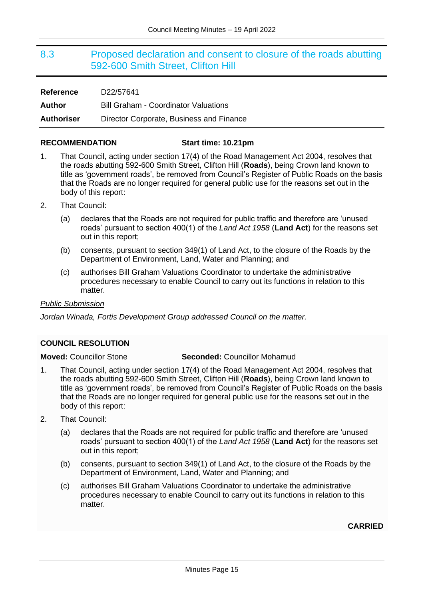## <span id="page-14-0"></span>8.3 Proposed declaration and consent to closure of the roads abutting 592-600 Smith Street, Clifton Hill

| <b>Reference</b>  | D22/57641                                   |
|-------------------|---------------------------------------------|
| Author            | <b>Bill Graham - Coordinator Valuations</b> |
| <b>Authoriser</b> | Director Corporate, Business and Finance    |

#### **RECOMMENDATION Start time: 10.21pm**

- 1. That Council, acting under section 17(4) of the Road Management Act 2004, resolves that the roads abutting 592-600 Smith Street, Clifton Hill (**Roads**), being Crown land known to title as 'government roads', be removed from Council's Register of Public Roads on the basis that the Roads are no longer required for general public use for the reasons set out in the body of this report:
- 2. That Council:
	- (a) declares that the Roads are not required for public traffic and therefore are 'unused roads' pursuant to section 400(1) of the *Land Act 1958* (**Land Act**) for the reasons set out in this report;
	- (b) consents, pursuant to section 349(1) of Land Act, to the closure of the Roads by the Department of Environment, Land, Water and Planning; and
	- (c) authorises Bill Graham Valuations Coordinator to undertake the administrative procedures necessary to enable Council to carry out its functions in relation to this matter.

#### *Public Submission*

*Jordan Winada, Fortis Development Group addressed Council on the matter.*

## <span id="page-14-1"></span>**COUNCIL RESOLUTION**

**Moved:** Councillor Stone **Seconded:** Councillor Mohamud

- 1. That Council, acting under section 17(4) of the Road Management Act 2004, resolves that the roads abutting 592-600 Smith Street, Clifton Hill (**Roads**), being Crown land known to title as 'government roads', be removed from Council's Register of Public Roads on the basis that the Roads are no longer required for general public use for the reasons set out in the body of this report:
- 2. That Council:
	- (a) declares that the Roads are not required for public traffic and therefore are 'unused roads' pursuant to section 400(1) of the *Land Act 1958* (**Land Act**) for the reasons set out in this report;
	- (b) consents, pursuant to section 349(1) of Land Act, to the closure of the Roads by the Department of Environment, Land, Water and Planning; and
	- (c) authorises Bill Graham Valuations Coordinator to undertake the administrative procedures necessary to enable Council to carry out its functions in relation to this matter.

**CARRIED**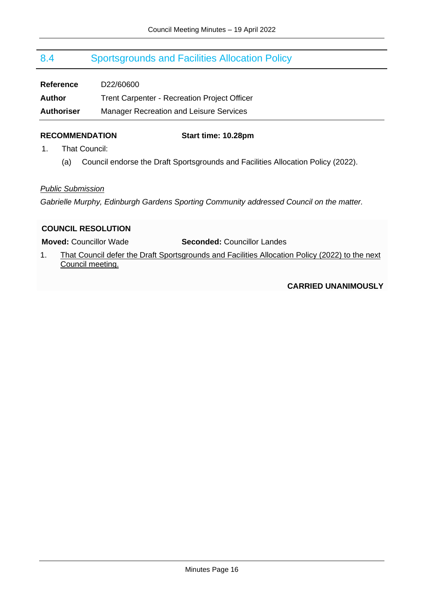## <span id="page-15-0"></span>8.4 Sportsgrounds and Facilities Allocation Policy

| <b>Reference</b>  | D22/60600                                           |
|-------------------|-----------------------------------------------------|
| <b>Author</b>     | <b>Trent Carpenter - Recreation Project Officer</b> |
| <b>Authoriser</b> | <b>Manager Recreation and Leisure Services</b>      |

#### **RECOMMENDATION Start time: 10.28pm**

- 1. That Council:
	- (a) Council endorse the Draft Sportsgrounds and Facilities Allocation Policy (2022).

## *Public Submission*

*Gabrielle Murphy, Edinburgh Gardens Sporting Community addressed Council on the matter.*

## <span id="page-15-1"></span>**COUNCIL RESOLUTION**

**Moved:** Councillor Wade **Seconded:** Councillor Landes

1. That Council defer the Draft Sportsgrounds and Facilities Allocation Policy (2022) to the next Council meeting.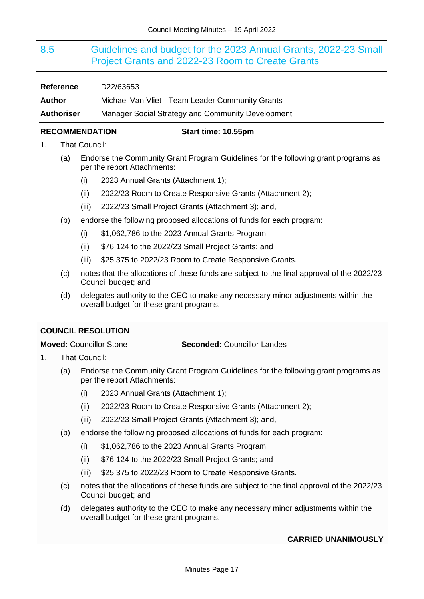## <span id="page-16-0"></span>8.5 Guidelines and budget for the 2023 Annual Grants, 2022-23 Small Project Grants and 2022-23 Room to Create Grants

### **Reference** D22/63653

**Author** Michael Van Vliet - Team Leader Community Grants

**Authoriser** Manager Social Strategy and Community Development

## **RECOMMENDATION Start time: 10.55pm**

- 1. That Council:
	- (a) Endorse the Community Grant Program Guidelines for the following grant programs as per the report Attachments:
		- (i) 2023 Annual Grants (Attachment 1);
		- (ii) 2022/23 Room to Create Responsive Grants (Attachment 2);
		- (iii) 2022/23 Small Project Grants (Attachment 3); and,
	- (b) endorse the following proposed allocations of funds for each program:
		- $(i)$  \$1,062,786 to the 2023 Annual Grants Program;
		- (ii) \$76,124 to the 2022/23 Small Project Grants; and
		- (iii) \$25,375 to 2022/23 Room to Create Responsive Grants.
	- (c) notes that the allocations of these funds are subject to the final approval of the 2022/23 Council budget; and
	- (d) delegates authority to the CEO to make any necessary minor adjustments within the overall budget for these grant programs.

## <span id="page-16-1"></span>**COUNCIL RESOLUTION**

## **Moved:** Councillor Stone **Seconded:** Councillor Landes

- 1. That Council:
	- (a) Endorse the Community Grant Program Guidelines for the following grant programs as per the report Attachments:
		- (i) 2023 Annual Grants (Attachment 1);
		- (ii) 2022/23 Room to Create Responsive Grants (Attachment 2);
		- (iii) 2022/23 Small Project Grants (Attachment 3); and,
	- (b) endorse the following proposed allocations of funds for each program:
		- (i) \$1,062,786 to the 2023 Annual Grants Program;
		- (ii) \$76,124 to the 2022/23 Small Project Grants; and
		- (iii) \$25,375 to 2022/23 Room to Create Responsive Grants.
	- (c) notes that the allocations of these funds are subject to the final approval of the 2022/23 Council budget; and
	- (d) delegates authority to the CEO to make any necessary minor adjustments within the overall budget for these grant programs.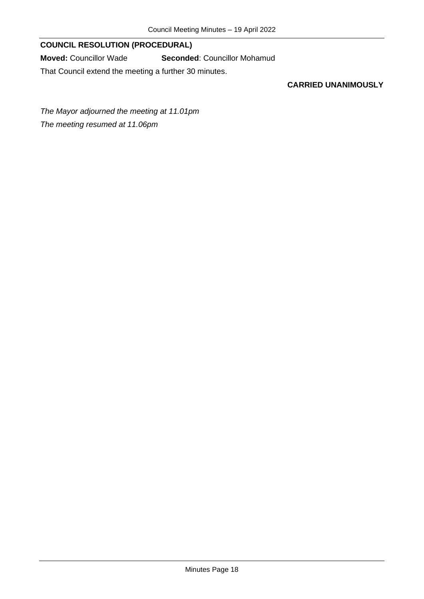## **COUNCIL RESOLUTION (PROCEDURAL)**

**Moved:** Councillor Wade **Seconded**: Councillor Mohamud

That Council extend the meeting a further 30 minutes.

## **CARRIED UNANIMOUSLY**

*The Mayor adjourned the meeting at 11.01pm The meeting resumed at 11.06pm*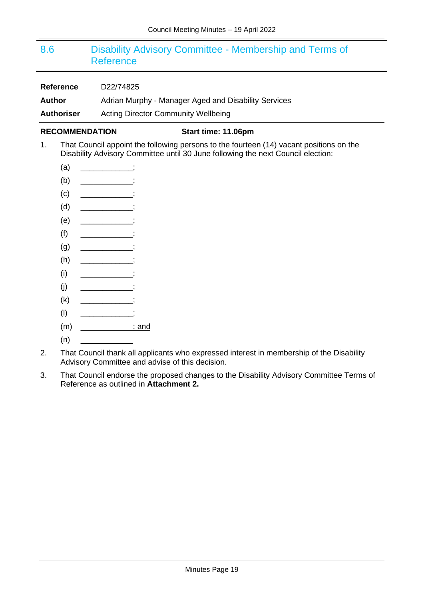## <span id="page-18-0"></span>8.6 Disability Advisory Committee - Membership and Terms of Reference

**Reference** D22/74825

Author **Adrian Murphy - Manager Aged and Disability Services** 

**Authoriser** Acting Director Community Wellbeing

## **RECOMMENDATION Start time: 11.06pm**

- 1. That Council appoint the following persons to the fourteen (14) vacant positions on the Disability Advisory Committee until 30 June following the next Council election:
	- $(a)$  ;
	- $(b)$   $\qquad \qquad$  ;
	- $\begin{matrix} \text{(c)} & \text{...} \end{matrix}$
	- (d) \_\_\_\_\_\_\_\_\_\_\_\_;
	- $(e)$  ;
	- $(f)$   $\qquad \qquad$
	- $(g)$   $\qquad \qquad$  ;
	- $(h)$   $\qquad \qquad$  ;
	- $(i)$   $\qquad \qquad \qquad$
	- $(i)$  ;
	- $(k)$  ;
	- $\begin{array}{ccc} \text{(I)} & \text{(I)} & \text{(II)} \end{array}$
	- (m) \_\_\_\_\_\_\_\_\_\_\_\_; and
	- $(n)$
- 2. That Council thank all applicants who expressed interest in membership of the Disability Advisory Committee and advise of this decision.
- 3. That Council endorse the proposed changes to the Disability Advisory Committee Terms of Reference as outlined in **Attachment 2.**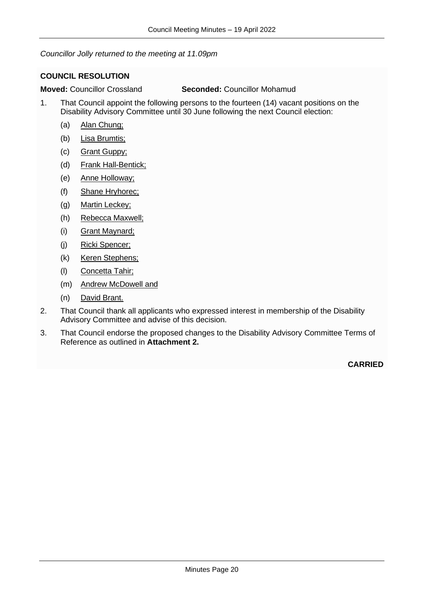*Councillor Jolly returned to the meeting at 11.09pm*

## <span id="page-19-0"></span>**COUNCIL RESOLUTION**

**Moved:** Councillor Crossland **Seconded:** Councillor Mohamud

- 1. That Council appoint the following persons to the fourteen (14) vacant positions on the Disability Advisory Committee until 30 June following the next Council election:
	- (a) Alan Chung;
	- (b) Lisa Brumtis;
	- (c) Grant Guppy;
	- (d) Frank Hall-Bentick;
	- (e) Anne Holloway;
	- (f) Shane Hryhorec;
	- (g) Martin Leckey;
	- (h) Rebecca Maxwell;
	- (i) Grant Maynard;
	- (j) Ricki Spencer;
	- (k) Keren Stephens;
	- (l) Concetta Tahir;
	- (m) Andrew McDowell and
	- (n) David Brant.
- 2. That Council thank all applicants who expressed interest in membership of the Disability Advisory Committee and advise of this decision.
- 3. That Council endorse the proposed changes to the Disability Advisory Committee Terms of Reference as outlined in **Attachment 2.**

**CARRIED**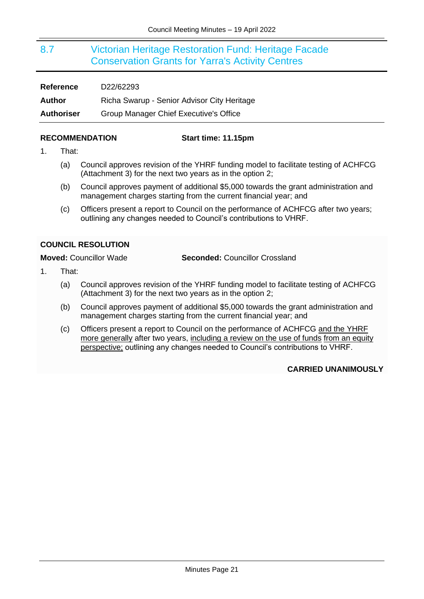## <span id="page-20-0"></span>8.7 Victorian Heritage Restoration Fund: Heritage Facade Conservation Grants for Yarra's Activity Centres

| <b>Reference</b>  | D22/62293                                   |
|-------------------|---------------------------------------------|
| Author            | Richa Swarup - Senior Advisor City Heritage |
| <b>Authoriser</b> | Group Manager Chief Executive's Office      |

### **RECOMMENDATION Start time: 11.15pm**

- 1. That:
	- (a) Council approves revision of the YHRF funding model to facilitate testing of ACHFCG (Attachment 3) for the next two years as in the option 2;
	- (b) Council approves payment of additional \$5,000 towards the grant administration and management charges starting from the current financial year; and
	- (c) Officers present a report to Council on the performance of ACHFCG after two years; outlining any changes needed to Council's contributions to VHRF.

## <span id="page-20-1"></span>**COUNCIL RESOLUTION**

**Moved:** Councillor Wade **Seconded:** Councillor Crossland

- 1. That:
	- (a) Council approves revision of the YHRF funding model to facilitate testing of ACHFCG (Attachment 3) for the next two years as in the option 2;
	- (b) Council approves payment of additional \$5,000 towards the grant administration and management charges starting from the current financial year; and
	- (c) Officers present a report to Council on the performance of ACHFCG and the YHRF more generally after two years, including a review on the use of funds from an equity perspective; outlining any changes needed to Council's contributions to VHRF.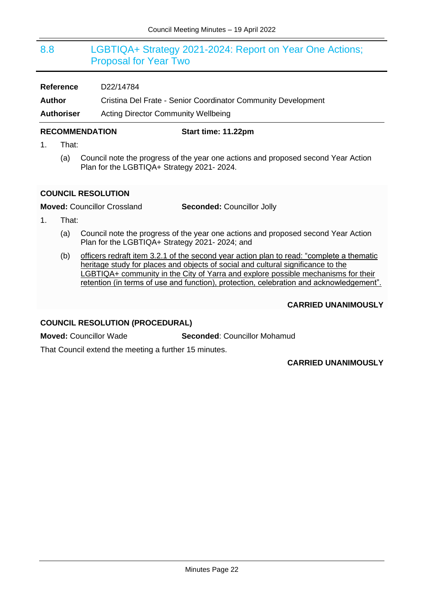## <span id="page-21-0"></span>8.8 LGBTIQA+ Strategy 2021-2024: Report on Year One Actions; Proposal for Year Two

| <b>Reference</b> | D <sub>22</sub> /14784 |
|------------------|------------------------|
|                  |                        |

**Author** Cristina Del Frate - Senior Coordinator Community Development

**Authoriser** Acting Director Community Wellbeing

## **RECOMMENDATION Start time: 11.22pm**

- 1. That:
	- (a) Council note the progress of the year one actions and proposed second Year Action Plan for the LGBTIQA+ Strategy 2021- 2024.

## <span id="page-21-1"></span>**COUNCIL RESOLUTION**

**Moved:** Councillor Crossland **Seconded:** Councillor Jolly

- 1. That:
	- (a) Council note the progress of the year one actions and proposed second Year Action Plan for the LGBTIQA+ Strategy 2021- 2024; and
	- (b) officers redraft item 3.2.1 of the second year action plan to read: "complete a thematic heritage study for places and objects of social and cultural significance to the LGBTIQA+ community in the City of Yarra and explore possible mechanisms for their retention (in terms of use and function), protection, celebration and acknowledgement".

## **CARRIED UNANIMOUSLY**

## **COUNCIL RESOLUTION (PROCEDURAL)**

**Moved:** Councillor Wade **Seconded**: Councillor Mohamud

That Council extend the meeting a further 15 minutes.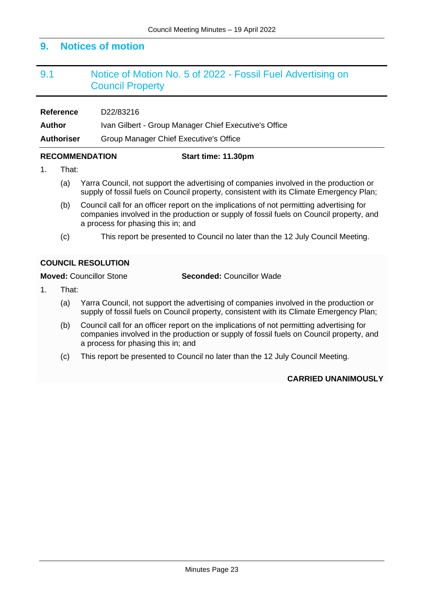## **9. Notices of motion**

## <span id="page-22-0"></span>9.1 Notice of Motion No. 5 of 2022 - Fossil Fuel Advertising on Council Property

**Reference** D22/83216

Author Ivan Gilbert - Group Manager Chief Executive's Office

**Authoriser** Group Manager Chief Executive's Office

#### **RECOMMENDATION Start time: 11.30pm**

- 1. That:
	- (a) Yarra Council, not support the advertising of companies involved in the production or supply of fossil fuels on Council property, consistent with its Climate Emergency Plan;
	- (b) Council call for an officer report on the implications of not permitting advertising for companies involved in the production or supply of fossil fuels on Council property, and a process for phasing this in; and
	- (c) This report be presented to Council no later than the 12 July Council Meeting.

## <span id="page-22-1"></span>**COUNCIL RESOLUTION**

**Moved:** Councillor Stone **Seconded:** Councillor Wade

- 1. That:
	- (a) Yarra Council, not support the advertising of companies involved in the production or supply of fossil fuels on Council property, consistent with its Climate Emergency Plan;
	- (b) Council call for an officer report on the implications of not permitting advertising for companies involved in the production or supply of fossil fuels on Council property, and a process for phasing this in; and
	- (c) This report be presented to Council no later than the 12 July Council Meeting.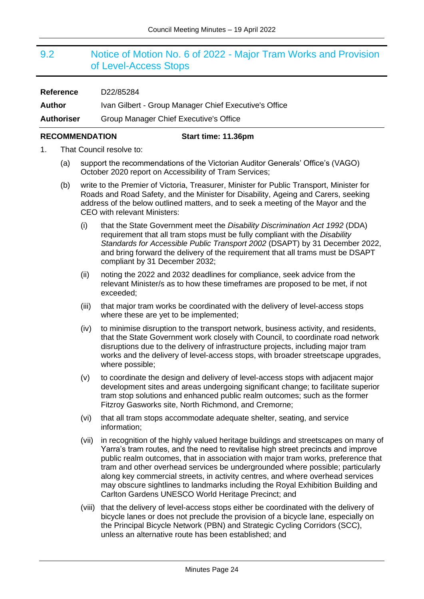## <span id="page-23-0"></span>9.2 Notice of Motion No. 6 of 2022 - Major Tram Works and Provision of Level-Access Stops

| <b>Reference</b>  | D22/85284                                             |
|-------------------|-------------------------------------------------------|
| Author            | Ivan Gilbert - Group Manager Chief Executive's Office |
| <b>Authoriser</b> | Group Manager Chief Executive's Office                |

### **RECOMMENDATION Start time: 11.36pm**

- 1. That Council resolve to:
	- (a) support the recommendations of the Victorian Auditor Generals' Office's (VAGO) October 2020 report on Accessibility of Tram Services;
	- (b) write to the Premier of Victoria, Treasurer, Minister for Public Transport, Minister for Roads and Road Safety, and the Minister for Disability, Ageing and Carers, seeking address of the below outlined matters, and to seek a meeting of the Mayor and the CEO with relevant Ministers:
		- (i) that the State Government meet the *Disability Discrimination Act 1992* (DDA) requirement that all tram stops must be fully compliant with the *Disability Standards for Accessible Public Transport 2002* (DSAPT) by 31 December 2022, and bring forward the delivery of the requirement that all trams must be DSAPT compliant by 31 December 2032;
		- (ii) noting the 2022 and 2032 deadlines for compliance, seek advice from the relevant Minister/s as to how these timeframes are proposed to be met, if not exceeded;
		- (iii) that major tram works be coordinated with the delivery of level-access stops where these are yet to be implemented;
		- (iv) to minimise disruption to the transport network, business activity, and residents, that the State Government work closely with Council, to coordinate road network disruptions due to the delivery of infrastructure projects, including major tram works and the delivery of level-access stops, with broader streetscape upgrades, where possible;
		- (v) to coordinate the design and delivery of level-access stops with adjacent major development sites and areas undergoing significant change; to facilitate superior tram stop solutions and enhanced public realm outcomes; such as the former Fitzroy Gasworks site, North Richmond, and Cremorne;
		- (vi) that all tram stops accommodate adequate shelter, seating, and service information;
		- (vii) in recognition of the highly valued heritage buildings and streetscapes on many of Yarra's tram routes, and the need to revitalise high street precincts and improve public realm outcomes, that in association with major tram works, preference that tram and other overhead services be undergrounded where possible; particularly along key commercial streets, in activity centres, and where overhead services may obscure sightlines to landmarks including the Royal Exhibition Building and Carlton Gardens UNESCO World Heritage Precinct; and
		- (viii) that the delivery of level-access stops either be coordinated with the delivery of bicycle lanes or does not preclude the provision of a bicycle lane, especially on the Principal Bicycle Network (PBN) and Strategic Cycling Corridors (SCC), unless an alternative route has been established; and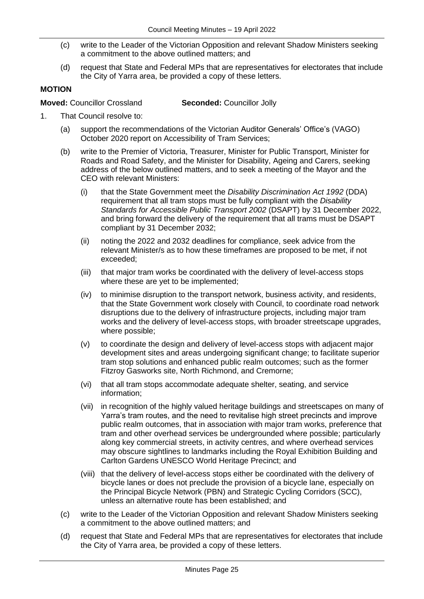- (c) write to the Leader of the Victorian Opposition and relevant Shadow Ministers seeking a commitment to the above outlined matters; and
- (d) request that State and Federal MPs that are representatives for electorates that include the City of Yarra area, be provided a copy of these letters.

## **MOTION**

**Moved:** Councillor Crossland **Seconded:** Councillor Jolly

- 1. That Council resolve to:
	- (a) support the recommendations of the Victorian Auditor Generals' Office's (VAGO) October 2020 report on Accessibility of Tram Services;
	- (b) write to the Premier of Victoria, Treasurer, Minister for Public Transport, Minister for Roads and Road Safety, and the Minister for Disability, Ageing and Carers, seeking address of the below outlined matters, and to seek a meeting of the Mayor and the CEO with relevant Ministers:
		- (i) that the State Government meet the *Disability Discrimination Act 1992* (DDA) requirement that all tram stops must be fully compliant with the *Disability Standards for Accessible Public Transport 2002* (DSAPT) by 31 December 2022, and bring forward the delivery of the requirement that all trams must be DSAPT compliant by 31 December 2032;
		- (ii) noting the 2022 and 2032 deadlines for compliance, seek advice from the relevant Minister/s as to how these timeframes are proposed to be met, if not exceeded;
		- (iii) that major tram works be coordinated with the delivery of level-access stops where these are yet to be implemented;
		- (iv) to minimise disruption to the transport network, business activity, and residents, that the State Government work closely with Council, to coordinate road network disruptions due to the delivery of infrastructure projects, including major tram works and the delivery of level-access stops, with broader streetscape upgrades, where possible;
		- (v) to coordinate the design and delivery of level-access stops with adjacent major development sites and areas undergoing significant change; to facilitate superior tram stop solutions and enhanced public realm outcomes; such as the former Fitzroy Gasworks site, North Richmond, and Cremorne;
		- (vi) that all tram stops accommodate adequate shelter, seating, and service information;
		- (vii) in recognition of the highly valued heritage buildings and streetscapes on many of Yarra's tram routes, and the need to revitalise high street precincts and improve public realm outcomes, that in association with major tram works, preference that tram and other overhead services be undergrounded where possible; particularly along key commercial streets, in activity centres, and where overhead services may obscure sightlines to landmarks including the Royal Exhibition Building and Carlton Gardens UNESCO World Heritage Precinct; and
		- (viii) that the delivery of level-access stops either be coordinated with the delivery of bicycle lanes or does not preclude the provision of a bicycle lane, especially on the Principal Bicycle Network (PBN) and Strategic Cycling Corridors (SCC), unless an alternative route has been established; and
	- (c) write to the Leader of the Victorian Opposition and relevant Shadow Ministers seeking a commitment to the above outlined matters; and
	- (d) request that State and Federal MPs that are representatives for electorates that include the City of Yarra area, be provided a copy of these letters.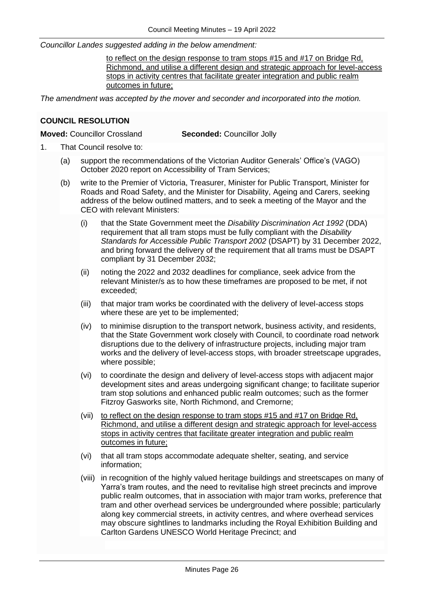*Councillor Landes suggested adding in the below amendment:*

to reflect on the design response to tram stops #15 and #17 on Bridge Rd. Richmond, and utilise a different design and strategic approach for level-access stops in activity centres that facilitate greater integration and public realm outcomes in future;

*The amendment was accepted by the mover and seconder and incorporated into the motion.*

## <span id="page-25-0"></span>**COUNCIL RESOLUTION**

**Moved:** Councillor Crossland **Seconded:** Councillor Jolly

- 1. That Council resolve to:
	- (a) support the recommendations of the Victorian Auditor Generals' Office's (VAGO) October 2020 report on Accessibility of Tram Services;
	- (b) write to the Premier of Victoria, Treasurer, Minister for Public Transport, Minister for Roads and Road Safety, and the Minister for Disability, Ageing and Carers, seeking address of the below outlined matters, and to seek a meeting of the Mayor and the CEO with relevant Ministers:
		- (i) that the State Government meet the *Disability Discrimination Act 1992* (DDA) requirement that all tram stops must be fully compliant with the *Disability Standards for Accessible Public Transport 2002* (DSAPT) by 31 December 2022, and bring forward the delivery of the requirement that all trams must be DSAPT compliant by 31 December 2032;
		- (ii) noting the 2022 and 2032 deadlines for compliance, seek advice from the relevant Minister/s as to how these timeframes are proposed to be met, if not exceeded;
		- (iii) that major tram works be coordinated with the delivery of level-access stops where these are yet to be implemented;
		- (iv) to minimise disruption to the transport network, business activity, and residents, that the State Government work closely with Council, to coordinate road network disruptions due to the delivery of infrastructure projects, including major tram works and the delivery of level-access stops, with broader streetscape upgrades, where possible;
		- (vi) to coordinate the design and delivery of level-access stops with adjacent major development sites and areas undergoing significant change; to facilitate superior tram stop solutions and enhanced public realm outcomes; such as the former Fitzroy Gasworks site, North Richmond, and Cremorne;
		- (vii) to reflect on the design response to tram stops #15 and #17 on Bridge Rd, Richmond, and utilise a different design and strategic approach for level-access stops in activity centres that facilitate greater integration and public realm outcomes in future;
		- (vi) that all tram stops accommodate adequate shelter, seating, and service information;
		- (viii) in recognition of the highly valued heritage buildings and streetscapes on many of Yarra's tram routes, and the need to revitalise high street precincts and improve public realm outcomes, that in association with major tram works, preference that tram and other overhead services be undergrounded where possible; particularly along key commercial streets, in activity centres, and where overhead services may obscure sightlines to landmarks including the Royal Exhibition Building and Carlton Gardens UNESCO World Heritage Precinct; and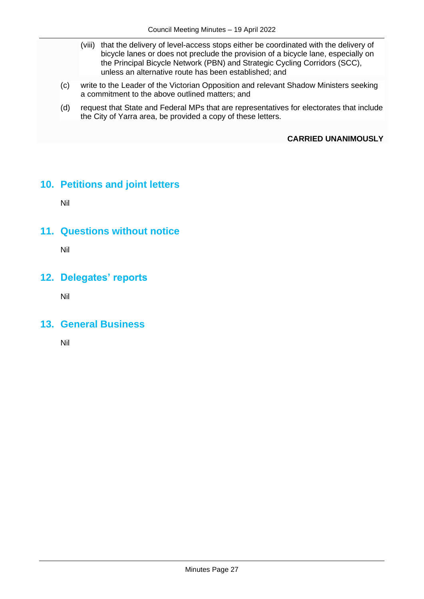- (viii) that the delivery of level-access stops either be coordinated with the delivery of bicycle lanes or does not preclude the provision of a bicycle lane, especially on the Principal Bicycle Network (PBN) and Strategic Cycling Corridors (SCC), unless an alternative route has been established; and
- (c) write to the Leader of the Victorian Opposition and relevant Shadow Ministers seeking a commitment to the above outlined matters; and
- (d) request that State and Federal MPs that are representatives for electorates that include the City of Yarra area, be provided a copy of these letters.

**CARRIED UNANIMOUSLY**

## **10. Petitions and joint letters**

Nil

## **11. Questions without notice**

Nil

## **12. Delegates' reports**

Nil

## **13. General Business**

Nil